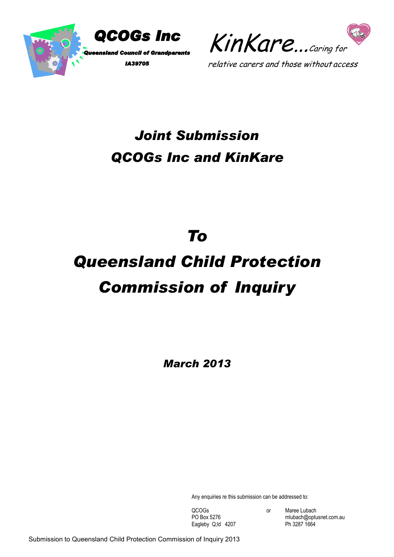



# *Joint Submission QCOGs Inc and KinKare*

# *To*

# *Queensland Child Protection Commission of Inquiry*

*March 2013*

Any enquiries re this submission can be addressed to:

Eagleby Q;ld 4207

QCOGs or Maree Lubach<br>
PO Box 5276 mlubach@optu mlubach@optusnet.com.au<br>Ph 3287 1664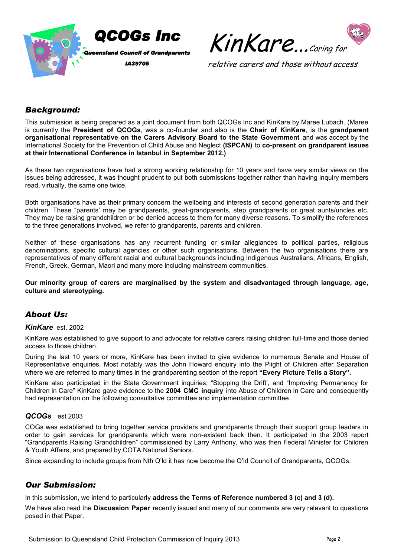



# *Background:*

This submission is being prepared as a joint document from both QCOGs Inc and KinKare by Maree Lubach. (Maree is currently the **President of QCOGs**, was a co-founder and also is the **Chair of KinKare**, is the **grandparent organisational representative on the Carers Advisory Board to the State Government** and was accept by the International Society for the Prevention of Child Abuse and Neglect **(ISPCAN)** to **co-present on grandparent issues at their International Conference in Istanbul in September 2012.)** 

As these two organisations have had a strong working relationship for 10 years and have very similar views on the issues being addressed, it was thought prudent to put both submissions together rather than having inquiry members read, virtually, the same one twice.

Both organisations have as their primary concern the wellbeing and interests of second generation parents and their children. These "parents' may be grandparents, great-grandparents, step grandparents or great aunts/uncles etc. They may be raising grandchildren or be denied access to them for many diverse reasons. To simplify the references to the three generations involved, we refer to grandparents, parents and children.

Neither of these organisations has any recurrent funding or similar allegiances to political parties, religious denominations, specific cultural agencies or other such organisations. Between the two organisations there are representatives of many different racial and cultural backgrounds including Indigenous Australians, Africans, English, French, Greek, German, Maori and many more including mainstream communities.

**Our minority group of carers are marginalised by the system and disadvantaged through language, age, culture and stereotyping.**

# *About Us:*

#### *KinKare* est. 2002

KinKare was established to give support to and advocate for relative carers raising children full-time and those denied access to those children.

During the last 10 years or more, KinKare has been invited to give evidence to numerous Senate and House of Representative enquiries. Most notably was the John Howard enquiry into the Plight of Children after Separation where we are referred to many times in the grandparenting section of the report **"Every Picture Tells a Story".**

KinKare also participated in the State Government inquiries; "Stopping the Drift', and "Improving Permanency for Children in Care" KinKare gave evidence to the **2004 CMC inquiry** into Abuse of Children in Care and consequently had representation on the following consultative committee and implementation committee.

#### *QCOGs* est 2003

COGs was established to bring together service providers and grandparents through their support group leaders in order to gain services for grandparents which were non-existent back then. It participated in the 2003 report "Grandparents Raising Grandchildren" commissioned by Larry Anthony, who was then Federal Minister for Children & Youth Affairs, and prepared by COTA National Seniors.

Since expanding to include groups from Nth Q'ld it has now become the Q'ld Council of Grandparents, QCOGs.

# *Our Submission:*

In this submission, we intend to particularly **address the Terms of Reference numbered 3 (c) and 3 (d).** 

We have also read the **Discussion Paper** recently issued and many of our comments are very relevant to questions posed in that Paper.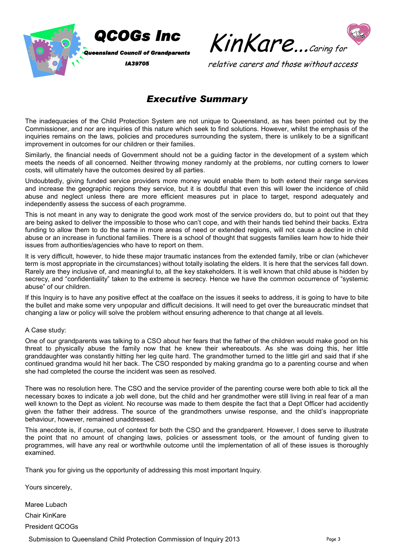



# *Executive Summary*

The inadequacies of the Child Protection System are not unique to Queensland, as has been pointed out by the Commissioner, and nor are inquiries of this nature which seek to find solutions. However, whilst the emphasis of the inquiries remains on the laws, policies and procedures surrounding the system, there is unlikely to be a significant improvement in outcomes for our children or their families.

Similarly, the financial needs of Government should not be a guiding factor in the development of a system which meets the needs of all concerned. Neither throwing money randomly at the problems, nor cutting corners to lower costs, will ultimately have the outcomes desired by all parties.

Undoubtedly, giving funded service providers more money would enable them to both extend their range services and increase the geographic regions they service, but it is doubtful that even this will lower the incidence of child abuse and neglect unless there are more efficient measures put in place to target, respond adequately and independently assess the success of each programme.

This is not meant in any way to denigrate the good work most of the service providers do, but to point out that they are being asked to deliver the impossible to those who can't cope, and with their hands tied behind their backs. Extra funding to allow them to do the same in more areas of need or extended regions, will not cause a decline in child abuse or an increase in functional families. There is a school of thought that suggests families learn how to hide their issues from authorities/agencies who have to report on them.

It is very difficult, however, to hide these major traumatic instances from the extended family, tribe or clan (whichever term is most appropriate in the circumstances) without totally isolating the elders. It is here that the services fall down. Rarely are they inclusive of, and meaningful to, all the key stakeholders. It is well known that child abuse is hidden by secrecy, and "confidentiality" taken to the extreme is secrecy. Hence we have the common occurrence of "systemic abuse" of our children.

If this Inquiry is to have any positive effect at the coalface on the issues it seeks to address, it is going to have to bite the bullet and make some very unpopular and difficult decisions. It will need to get over the bureaucratic mindset that changing a law or policy will solve the problem without ensuring adherence to that change at all levels.

#### A Case study:

One of our grandparents was talking to a CSO about her fears that the father of the children would make good on his threat to physically abuse the family now that he knew their whereabouts. As she was doing this, her little granddaughter was constantly hitting her leg quite hard. The grandmother turned to the little girl and said that if she continued grandma would hit her back. The CSO responded by making grandma go to a parenting course and when she had completed the course the incident was seen as resolved.

There was no resolution here. The CSO and the service provider of the parenting course were both able to tick all the necessary boxes to indicate a job well done, but the child and her grandmother were still living in real fear of a man well known to the Dept as violent. No recourse was made to them despite the fact that a Dept Officer had accidently given the father their address. The source of the grandmothers unwise response, and the child's inappropriate behaviour, however, remained unaddressed.

This anecdote is, if course, out of context for both the CSO and the grandparent. However, I does serve to illustrate the point that no amount of changing laws, policies or assessment tools, or the amount of funding given to programmes, will have any real or worthwhile outcome until the implementation of all of these issues is thoroughly examined.

Thank you for giving us the opportunity of addressing this most important Inquiry.

Yours sincerely,

Maree Lubach Chair KinKare President QCOGs

Submission to Queensland Child Protection Commission of Inquiry 2013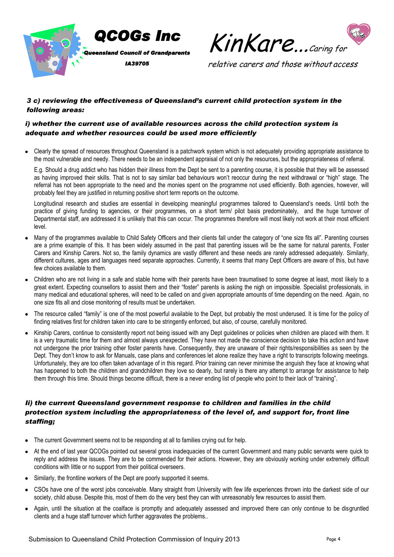



# *3 c) reviewing the effectiveness of Queensland's current child protection system in the following areas:*

#### *i) whether the current use of available resources across the child protection system is adequate and whether resources could be used more efficiently*

Clearly the spread of resources throughout Queensland is a patchwork system which is not adequately providing appropriate assistance to the most vulnerable and needy. There needs to be an independent appraisal of not only the resources, but the appropriateness of referral.

E.g. Should a drug addict who has hidden their illness from the Dept be sent to a parenting course, it is possible that they will be assessed as having improved their skills. That is not to say similar bad behaviours won't reoccur during the next withdrawal or "high" stage. The referral has not been appropriate to the need and the monies spent on the programme not used efficiently. Both agencies, however, will probably feel they are justified in returning positive short term reports on the outcome.

Longitudinal research and studies are essential in developing meaningful programmes tailored to Queensland's needs. Until both the practice of giving funding to agencies, or their programmes, on a short term/ pilot basis predominately, and the huge turnover of Departmental staff, are addressed it is unlikely that this can occur. The programmes therefore will most likely not work at their most efficient level.

- Many of the programmes available to Child Safety Officers and their clients fall under the category of "one size fits all". Parenting courses are a prime example of this. It has been widely assumed in the past that parenting issues will be the same for natural parents, Foster Carers and Kinship Carers. Not so, the family dynamics are vastly different and these needs are rarely addressed adequately. Similarly, different cultures, ages and languages need separate approaches. Currently, it seems that many Dept Officers are aware of this, but have few choices available to them.
- Children who are not living in a safe and stable home with their parents have been traumatised to some degree at least, most likely to a  $\bullet$ great extent. Expecting counsellors to assist them and their "foster" parents is asking the nigh on impossible. Specialist professionals, in many medical and educational spheres, will need to be called on and given appropriate amounts of time depending on the need. Again, no one size fits all and close monitoring of results must be undertaken.
- The resource called "family" is one of the most powerful available to the Dept, but probably the most underused. It is time for the policy of finding relatives first for children taken into care to be stringently enforced, but also, of course, carefully monitored.
- Kinship Carers, continue to consistently report not being issued with any Dept guidelines or policies when children are placed with them. It is a very traumatic time for them and almost always unexpected. They have not made the conscience decision to take this action and have not undergone the prior training other foster parents have. Consequently, they are unaware of their rights/responsibilities as seen by the Dept. They don't know to ask for Manuals, case plans and conferences let alone realize they have a right to transcripts following meetings. Unfortunately, they are too often taken advantage of in this regard. Prior training can never minimise the anguish they face at knowing what has happened to both the children and grandchildren they love so dearly, but rarely is there any attempt to arrange for assistance to help them through this time. Should things become difficult, there is a never ending list of people who point to their lack of "training".

# *Ii) the current Queensland government response to children and families in the child protection system including the appropriateness of the level of, and support for, front line staffing;*

- The current Government seems not to be responding at all to families crying out for help.
- At the end of last year QCOGs pointed out several gross inadequacies of the current Government and many public servants were quick to reply and address the issues. They are to be commended for their actions. However, they are obviously working under extremely difficult conditions with little or no support from their political overseers.
- Similarly, the frontline workers of the Dept are poorly supported it seems.
- CSOs have one of the worst jobs conceivable. Many straight from University with few life experiences thrown into the darkest side of our society, child abuse. Despite this, most of them do the very best they can with unreasonably few resources to assist them.
- Again, until the situation at the coalface is promptly and adequately assessed and improved there can only continue to be disgruntled clients and a huge staff turnover which further aggravates the problems..